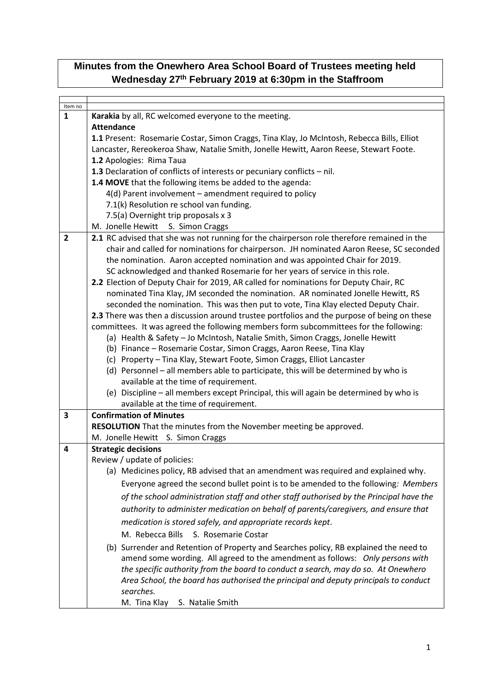## **Minutes from the Onewhero Area School Board of Trustees meeting held Wednesday 27th February 2019 at 6:30pm in the Staffroom**

| Item no        |                                                                                             |  |  |  |
|----------------|---------------------------------------------------------------------------------------------|--|--|--|
| 1              | Karakia by all, RC welcomed everyone to the meeting.                                        |  |  |  |
|                | <b>Attendance</b>                                                                           |  |  |  |
|                | 1.1 Present: Rosemarie Costar, Simon Craggs, Tina Klay, Jo McIntosh, Rebecca Bills, Elliot  |  |  |  |
|                | Lancaster, Rereokeroa Shaw, Natalie Smith, Jonelle Hewitt, Aaron Reese, Stewart Foote.      |  |  |  |
|                | 1.2 Apologies: Rima Taua                                                                    |  |  |  |
|                | 1.3 Declaration of conflicts of interests or pecuniary conflicts - nil.                     |  |  |  |
|                | 1.4 MOVE that the following items be added to the agenda:                                   |  |  |  |
|                | 4(d) Parent involvement - amendment required to policy                                      |  |  |  |
|                | 7.1(k) Resolution re school van funding.                                                    |  |  |  |
|                | 7.5(a) Overnight trip proposals x 3                                                         |  |  |  |
|                | M. Jonelle Hewitt<br>S. Simon Craggs                                                        |  |  |  |
| $\overline{2}$ | 2.1 RC advised that she was not running for the chairperson role therefore remained in the  |  |  |  |
|                | chair and called for nominations for chairperson. JH nominated Aaron Reese, SC seconded     |  |  |  |
|                | the nomination. Aaron accepted nomination and was appointed Chair for 2019.                 |  |  |  |
|                | SC acknowledged and thanked Rosemarie for her years of service in this role.                |  |  |  |
|                | 2.2 Election of Deputy Chair for 2019, AR called for nominations for Deputy Chair, RC       |  |  |  |
|                | nominated Tina Klay, JM seconded the nomination. AR nominated Jonelle Hewitt, RS            |  |  |  |
|                | seconded the nomination. This was then put to vote, Tina Klay elected Deputy Chair.         |  |  |  |
|                | 2.3 There was then a discussion around trustee portfolios and the purpose of being on these |  |  |  |
|                | committees. It was agreed the following members form subcommittees for the following:       |  |  |  |
|                | (a) Health & Safety - Jo McIntosh, Natalie Smith, Simon Craggs, Jonelle Hewitt              |  |  |  |
|                | (b) Finance - Rosemarie Costar, Simon Craggs, Aaron Reese, Tina Klay                        |  |  |  |
|                | (c) Property - Tina Klay, Stewart Foote, Simon Craggs, Elliot Lancaster                     |  |  |  |
|                | (d) Personnel - all members able to participate, this will be determined by who is          |  |  |  |
|                | available at the time of requirement.                                                       |  |  |  |
|                | (e) Discipline - all members except Principal, this will again be determined by who is      |  |  |  |
|                | available at the time of requirement.                                                       |  |  |  |
| 3              | <b>Confirmation of Minutes</b>                                                              |  |  |  |
|                | RESOLUTION That the minutes from the November meeting be approved.                          |  |  |  |
|                | M. Jonelle Hewitt S. Simon Craggs                                                           |  |  |  |
| 4              | <b>Strategic decisions</b>                                                                  |  |  |  |
|                | Review / update of policies:                                                                |  |  |  |
|                | (a) Medicines policy, RB advised that an amendment was required and explained why.          |  |  |  |
|                | Everyone agreed the second bullet point is to be amended to the following: Members          |  |  |  |
|                | of the school administration staff and other staff authorised by the Principal have the     |  |  |  |
|                | authority to administer medication on behalf of parents/caregivers, and ensure that         |  |  |  |
|                | medication is stored safely, and appropriate records kept.                                  |  |  |  |
|                | M. Rebecca Bills<br>S. Rosemarie Costar                                                     |  |  |  |
|                | (b) Surrender and Retention of Property and Searches policy, RB explained the need to       |  |  |  |
|                | amend some wording. All agreed to the amendment as follows: Only persons with               |  |  |  |
|                | the specific authority from the board to conduct a search, may do so. At Onewhero           |  |  |  |
|                | Area School, the board has authorised the principal and deputy principals to conduct        |  |  |  |
|                | searches.                                                                                   |  |  |  |
|                | M. Tina Klay<br>S. Natalie Smith                                                            |  |  |  |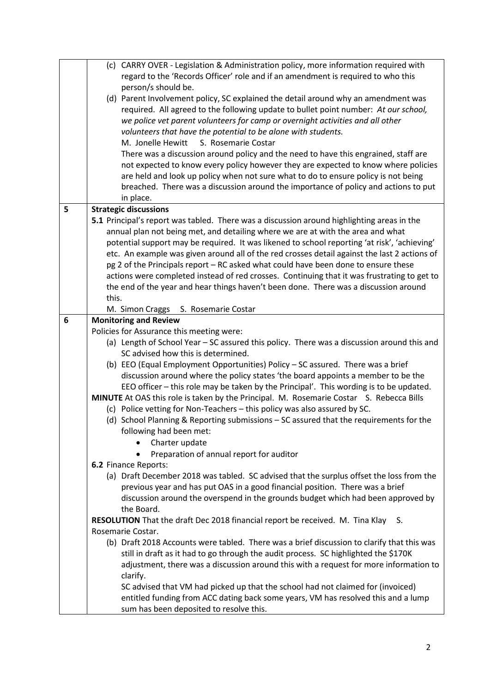|   | (c) CARRY OVER - Legislation & Administration policy, more information required with                                         |  |  |  |
|---|------------------------------------------------------------------------------------------------------------------------------|--|--|--|
|   | regard to the 'Records Officer' role and if an amendment is required to who this                                             |  |  |  |
|   | person/s should be.<br>(d) Parent Involvement policy, SC explained the detail around why an amendment was                    |  |  |  |
|   | required. All agreed to the following update to bullet point number: At our school,                                          |  |  |  |
|   | we police vet parent volunteers for camp or overnight activities and all other                                               |  |  |  |
|   | volunteers that have the potential to be alone with students.                                                                |  |  |  |
|   | M. Jonelle Hewitt<br>S. Rosemarie Costar                                                                                     |  |  |  |
|   | There was a discussion around policy and the need to have this engrained, staff are                                          |  |  |  |
|   | not expected to know every policy however they are expected to know where policies                                           |  |  |  |
|   | are held and look up policy when not sure what to do to ensure policy is not being                                           |  |  |  |
|   | breached. There was a discussion around the importance of policy and actions to put                                          |  |  |  |
|   | in place.                                                                                                                    |  |  |  |
| 5 | <b>Strategic discussions</b>                                                                                                 |  |  |  |
|   | 5.1 Principal's report was tabled. There was a discussion around highlighting areas in the                                   |  |  |  |
|   | annual plan not being met, and detailing where we are at with the area and what                                              |  |  |  |
|   | potential support may be required. It was likened to school reporting 'at risk', 'achieving'                                 |  |  |  |
|   | etc. An example was given around all of the red crosses detail against the last 2 actions of                                 |  |  |  |
|   | pg 2 of the Principals report - RC asked what could have been done to ensure these                                           |  |  |  |
|   | actions were completed instead of red crosses. Continuing that it was frustrating to get to                                  |  |  |  |
|   | the end of the year and hear things haven't been done. There was a discussion around                                         |  |  |  |
|   | this.                                                                                                                        |  |  |  |
|   | M. Simon Craggs S. Rosemarie Costar                                                                                          |  |  |  |
| 6 | <b>Monitoring and Review</b>                                                                                                 |  |  |  |
|   | Policies for Assurance this meeting were:                                                                                    |  |  |  |
|   | (a) Length of School Year - SC assured this policy. There was a discussion around this and                                   |  |  |  |
|   |                                                                                                                              |  |  |  |
|   | SC advised how this is determined.                                                                                           |  |  |  |
|   | (b) EEO (Equal Employment Opportunities) Policy - SC assured. There was a brief                                              |  |  |  |
|   | discussion around where the policy states 'the board appoints a member to be the                                             |  |  |  |
|   | EEO officer - this role may be taken by the Principal'. This wording is to be updated.                                       |  |  |  |
|   | MINUTE At OAS this role is taken by the Principal. M. Rosemarie Costar S. Rebecca Bills                                      |  |  |  |
|   | (c) Police vetting for Non-Teachers - this policy was also assured by SC.                                                    |  |  |  |
|   | (d) School Planning & Reporting submissions - SC assured that the requirements for the                                       |  |  |  |
|   | following had been met:                                                                                                      |  |  |  |
|   | Charter update<br>Preparation of annual report for auditor<br>$\bullet$                                                      |  |  |  |
|   | 6.2 Finance Reports:                                                                                                         |  |  |  |
|   | (a) Draft December 2018 was tabled. SC advised that the surplus offset the loss from the                                     |  |  |  |
|   | previous year and has put OAS in a good financial position. There was a brief                                                |  |  |  |
|   | discussion around the overspend in the grounds budget which had been approved by                                             |  |  |  |
|   | the Board.                                                                                                                   |  |  |  |
|   | RESOLUTION That the draft Dec 2018 financial report be received. M. Tina Klay S.                                             |  |  |  |
|   | Rosemarie Costar.                                                                                                            |  |  |  |
|   | (b) Draft 2018 Accounts were tabled. There was a brief discussion to clarify that this was                                   |  |  |  |
|   | still in draft as it had to go through the audit process. SC highlighted the \$170K                                          |  |  |  |
|   | adjustment, there was a discussion around this with a request for more information to                                        |  |  |  |
|   | clarify.                                                                                                                     |  |  |  |
|   | SC advised that VM had picked up that the school had not claimed for (invoiced)                                              |  |  |  |
|   | entitled funding from ACC dating back some years, VM has resolved this and a lump<br>sum has been deposited to resolve this. |  |  |  |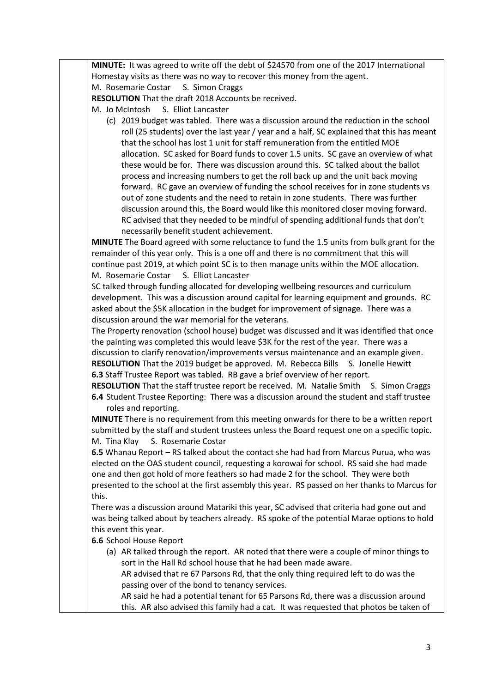**MINUTE:** It was agreed to write off the debt of \$24570 from one of the 2017 International Homestay visits as there was no way to recover this money from the agent.

M. Rosemarie Costar S. Simon Craggs

**RESOLUTION** That the draft 2018 Accounts be received.

M. Jo McIntosh S. Elliot Lancaster

(c) 2019 budget was tabled. There was a discussion around the reduction in the school roll (25 students) over the last year / year and a half, SC explained that this has meant that the school has lost 1 unit for staff remuneration from the entitled MOE allocation. SC asked for Board funds to cover 1.5 units. SC gave an overview of what these would be for. There was discussion around this. SC talked about the ballot process and increasing numbers to get the roll back up and the unit back moving forward. RC gave an overview of funding the school receives for in zone students vs out of zone students and the need to retain in zone students. There was further discussion around this, the Board would like this monitored closer moving forward. RC advised that they needed to be mindful of spending additional funds that don't necessarily benefit student achievement.

**MINUTE** The Board agreed with some reluctance to fund the 1.5 units from bulk grant for the remainder of this year only. This is a one off and there is no commitment that this will continue past 2019, at which point SC is to then manage units within the MOE allocation. M. Rosemarie Costar S. Elliot Lancaster

SC talked through funding allocated for developing wellbeing resources and curriculum development. This was a discussion around capital for learning equipment and grounds. RC asked about the \$5K allocation in the budget for improvement of signage. There was a discussion around the war memorial for the veterans.

The Property renovation (school house) budget was discussed and it was identified that once the painting was completed this would leave \$3K for the rest of the year. There was a discussion to clarify renovation/improvements versus maintenance and an example given. **RESOLUTION** That the 2019 budget be approved. M. Rebecca Bills S. Jonelle Hewitt

**6.3** Staff Trustee Report was tabled. RB gave a brief overview of her report.

**RESOLUTION** That the staff trustee report be received. M. Natalie Smith S. Simon Craggs **6.4** Student Trustee Reporting: There was a discussion around the student and staff trustee roles and reporting.

**MINUTE** There is no requirement from this meeting onwards for there to be a written report submitted by the staff and student trustees unless the Board request one on a specific topic. M. Tina Klay S. Rosemarie Costar

**6.5** Whanau Report – RS talked about the contact she had had from Marcus Purua, who was elected on the OAS student council, requesting a korowai for school. RS said she had made one and then got hold of more feathers so had made 2 for the school. They were both presented to the school at the first assembly this year. RS passed on her thanks to Marcus for this.

There was a discussion around Matariki this year, SC advised that criteria had gone out and was being talked about by teachers already. RS spoke of the potential Marae options to hold this event this year.

**6.6** School House Report

(a) AR talked through the report. AR noted that there were a couple of minor things to sort in the Hall Rd school house that he had been made aware.

AR advised that re 67 Parsons Rd, that the only thing required left to do was the passing over of the bond to tenancy services.

AR said he had a potential tenant for 65 Parsons Rd, there was a discussion around this. AR also advised this family had a cat. It was requested that photos be taken of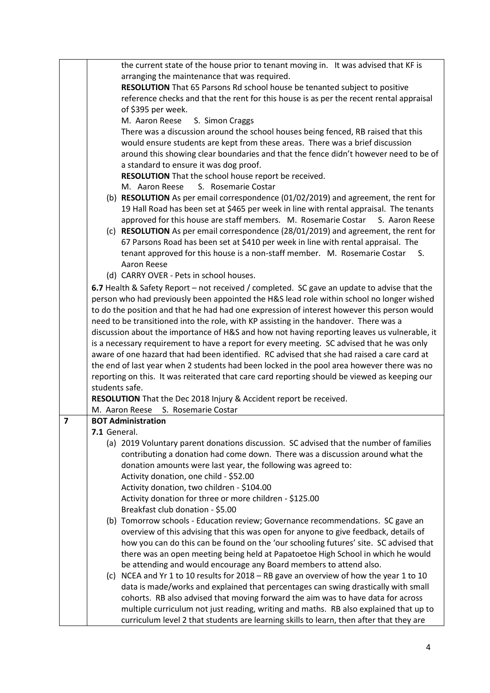|                | the current state of the house prior to tenant moving in. It was advised that KF is           |  |  |  |
|----------------|-----------------------------------------------------------------------------------------------|--|--|--|
|                | arranging the maintenance that was required.                                                  |  |  |  |
|                | RESOLUTION That 65 Parsons Rd school house be tenanted subject to positive                    |  |  |  |
|                | reference checks and that the rent for this house is as per the recent rental appraisal       |  |  |  |
|                | of \$395 per week.                                                                            |  |  |  |
|                | S. Simon Craggs<br>M. Aaron Reese                                                             |  |  |  |
|                | There was a discussion around the school houses being fenced, RB raised that this             |  |  |  |
|                | would ensure students are kept from these areas. There was a brief discussion                 |  |  |  |
|                | around this showing clear boundaries and that the fence didn't however need to be of          |  |  |  |
|                | a standard to ensure it was dog proof.                                                        |  |  |  |
|                | RESOLUTION That the school house report be received.                                          |  |  |  |
|                | S. Rosemarie Costar<br>M. Aaron Reese                                                         |  |  |  |
|                | (b) RESOLUTION As per email correspondence (01/02/2019) and agreement, the rent for           |  |  |  |
|                | 19 Hall Road has been set at \$465 per week in line with rental appraisal. The tenants        |  |  |  |
|                | approved for this house are staff members. M. Rosemarie Costar S. Aaron Reese                 |  |  |  |
|                | (c) RESOLUTION As per email correspondence (28/01/2019) and agreement, the rent for           |  |  |  |
|                | 67 Parsons Road has been set at \$410 per week in line with rental appraisal. The             |  |  |  |
|                | tenant approved for this house is a non-staff member. M. Rosemarie Costar<br>S.               |  |  |  |
|                | Aaron Reese                                                                                   |  |  |  |
|                | (d) CARRY OVER - Pets in school houses.                                                       |  |  |  |
|                | 6.7 Health & Safety Report - not received / completed. SC gave an update to advise that the   |  |  |  |
|                | person who had previously been appointed the H&S lead role within school no longer wished     |  |  |  |
|                | to do the position and that he had had one expression of interest however this person would   |  |  |  |
|                | need to be transitioned into the role, with KP assisting in the handover. There was a         |  |  |  |
|                | discussion about the importance of H&S and how not having reporting leaves us vulnerable, it  |  |  |  |
|                | is a necessary requirement to have a report for every meeting. SC advised that he was only    |  |  |  |
|                | aware of one hazard that had been identified. RC advised that she had raised a care card at   |  |  |  |
|                | the end of last year when 2 students had been locked in the pool area however there was no    |  |  |  |
|                | reporting on this. It was reiterated that care card reporting should be viewed as keeping our |  |  |  |
|                | students safe.                                                                                |  |  |  |
|                | RESOLUTION That the Dec 2018 Injury & Accident report be received.                            |  |  |  |
|                | S. Rosemarie Costar<br>M. Aaron Reese                                                         |  |  |  |
| $\overline{7}$ | <b>BOT Administration</b>                                                                     |  |  |  |
|                | 7.1 General.                                                                                  |  |  |  |
|                | (a) 2019 Voluntary parent donations discussion. SC advised that the number of families        |  |  |  |
|                | contributing a donation had come down. There was a discussion around what the                 |  |  |  |
|                | donation amounts were last year, the following was agreed to:                                 |  |  |  |
|                | Activity donation, one child - \$52.00                                                        |  |  |  |
|                | Activity donation, two children - \$104.00                                                    |  |  |  |
|                | Activity donation for three or more children - \$125.00                                       |  |  |  |
|                | Breakfast club donation - \$5.00                                                              |  |  |  |
|                | (b) Tomorrow schools - Education review; Governance recommendations. SC gave an               |  |  |  |
|                | overview of this advising that this was open for anyone to give feedback, details of          |  |  |  |
|                | how you can do this can be found on the 'our schooling futures' site. SC advised that         |  |  |  |
|                | there was an open meeting being held at Papatoetoe High School in which he would              |  |  |  |
|                | be attending and would encourage any Board members to attend also.                            |  |  |  |
|                | (c) NCEA and Yr 1 to 10 results for 2018 - RB gave an overview of how the year 1 to 10        |  |  |  |
|                | data is made/works and explained that percentages can swing drastically with small            |  |  |  |
|                | cohorts. RB also advised that moving forward the aim was to have data for across              |  |  |  |
|                | multiple curriculum not just reading, writing and maths. RB also explained that up to         |  |  |  |
|                | curriculum level 2 that students are learning skills to learn, then after that they are       |  |  |  |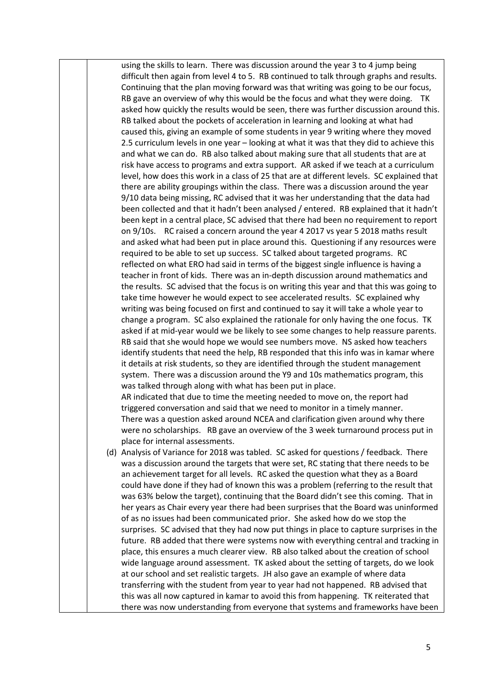using the skills to learn. There was discussion around the year 3 to 4 jump being difficult then again from level 4 to 5. RB continued to talk through graphs and results. Continuing that the plan moving forward was that writing was going to be our focus, RB gave an overview of why this would be the focus and what they were doing. TK asked how quickly the results would be seen, there was further discussion around this. RB talked about the pockets of acceleration in learning and looking at what had caused this, giving an example of some students in year 9 writing where they moved 2.5 curriculum levels in one year – looking at what it was that they did to achieve this and what we can do. RB also talked about making sure that all students that are at risk have access to programs and extra support. AR asked if we teach at a curriculum level, how does this work in a class of 25 that are at different levels. SC explained that there are ability groupings within the class. There was a discussion around the year 9/10 data being missing, RC advised that it was her understanding that the data had been collected and that it hadn't been analysed / entered. RB explained that it hadn't been kept in a central place, SC advised that there had been no requirement to report on 9/10s. RC raised a concern around the year 4 2017 vs year 5 2018 maths result and asked what had been put in place around this. Questioning if any resources were required to be able to set up success. SC talked about targeted programs. RC reflected on what ERO had said in terms of the biggest single influence is having a teacher in front of kids. There was an in-depth discussion around mathematics and the results. SC advised that the focus is on writing this year and that this was going to take time however he would expect to see accelerated results. SC explained why writing was being focused on first and continued to say it will take a whole year to change a program. SC also explained the rationale for only having the one focus. TK asked if at mid-year would we be likely to see some changes to help reassure parents. RB said that she would hope we would see numbers move. NS asked how teachers identify students that need the help, RB responded that this info was in kamar where it details at risk students, so they are identified through the student management system. There was a discussion around the Y9 and 10s mathematics program, this was talked through along with what has been put in place.

AR indicated that due to time the meeting needed to move on, the report had triggered conversation and said that we need to monitor in a timely manner. There was a question asked around NCEA and clarification given around why there were no scholarships. RB gave an overview of the 3 week turnaround process put in place for internal assessments.

(d) Analysis of Variance for 2018 was tabled. SC asked for questions / feedback. There was a discussion around the targets that were set, RC stating that there needs to be an achievement target for all levels. RC asked the question what they as a Board could have done if they had of known this was a problem (referring to the result that was 63% below the target), continuing that the Board didn't see this coming. That in her years as Chair every year there had been surprises that the Board was uninformed of as no issues had been communicated prior. She asked how do we stop the surprises. SC advised that they had now put things in place to capture surprises in the future. RB added that there were systems now with everything central and tracking in place, this ensures a much clearer view. RB also talked about the creation of school wide language around assessment. TK asked about the setting of targets, do we look at our school and set realistic targets. JH also gave an example of where data transferring with the student from year to year had not happened. RB advised that this was all now captured in kamar to avoid this from happening. TK reiterated that there was now understanding from everyone that systems and frameworks have been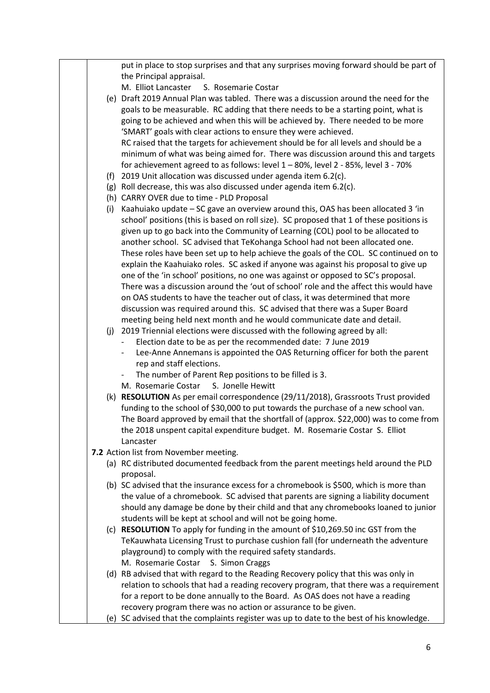|     | put in place to stop surprises and that any surprises moving forward should be part of   |
|-----|------------------------------------------------------------------------------------------|
|     | the Principal appraisal.                                                                 |
|     | M. Elliot Lancaster<br>S. Rosemarie Costar                                               |
|     | (e) Draft 2019 Annual Plan was tabled. There was a discussion around the need for the    |
|     | goals to be measurable. RC adding that there needs to be a starting point, what is       |
|     | going to be achieved and when this will be achieved by. There needed to be more          |
|     | 'SMART' goals with clear actions to ensure they were achieved.                           |
|     | RC raised that the targets for achievement should be for all levels and should be a      |
|     | minimum of what was being aimed for. There was discussion around this and targets        |
|     | for achievement agreed to as follows: level 1 - 80%, level 2 - 85%, level 3 - 70%        |
|     | (f) 2019 Unit allocation was discussed under agenda item $6.2(c)$ .                      |
|     | (g) Roll decrease, this was also discussed under agenda item 6.2(c).                     |
|     | (h) CARRY OVER due to time - PLD Proposal                                                |
| (i) | Kaahuiako update - SC gave an overview around this, OAS has been allocated 3 'in         |
|     | school' positions (this is based on roll size). SC proposed that 1 of these positions is |
|     | given up to go back into the Community of Learning (COL) pool to be allocated to         |
|     | another school. SC advised that TeKohanga School had not been allocated one.             |
|     | These roles have been set up to help achieve the goals of the COL. SC continued on to    |
|     | explain the Kaahuiako roles. SC asked if anyone was against his proposal to give up      |
|     | one of the 'in school' positions, no one was against or opposed to SC's proposal.        |
|     | There was a discussion around the 'out of school' role and the affect this would have    |
|     | on OAS students to have the teacher out of class, it was determined that more            |
|     | discussion was required around this. SC advised that there was a Super Board             |
|     | meeting being held next month and he would communicate date and detail.                  |
|     | (j) 2019 Triennial elections were discussed with the following agreed by all:            |
|     | Election date to be as per the recommended date: 7 June 2019                             |
|     | Lee-Anne Annemans is appointed the OAS Returning officer for both the parent<br>$\sim$   |
|     | rep and staff elections.                                                                 |
|     | The number of Parent Rep positions to be filled is 3.                                    |
|     | M. Rosemarie Costar<br>S. Jonelle Hewitt                                                 |
|     | (k) RESOLUTION As per email correspondence (29/11/2018), Grassroots Trust provided       |
|     | funding to the school of \$30,000 to put towards the purchase of a new school van.       |
|     | The Board approved by email that the shortfall of (approx. \$22,000) was to come from    |
|     | the 2018 unspent capital expenditure budget. M. Rosemarie Costar S. Elliot               |
|     | Lancaster                                                                                |
|     | 7.2 Action list from November meeting.                                                   |
|     | (a) RC distributed documented feedback from the parent meetings held around the PLD      |
|     | proposal.                                                                                |
|     | (b) SC advised that the insurance excess for a chromebook is \$500, which is more than   |
|     | the value of a chromebook. SC advised that parents are signing a liability document      |
|     | should any damage be done by their child and that any chromebooks loaned to junior       |
|     |                                                                                          |
|     | students will be kept at school and will not be going home.                              |
|     | (c) RESOLUTION To apply for funding in the amount of \$10,269.50 inc GST from the        |
|     | TeKauwhata Licensing Trust to purchase cushion fall (for underneath the adventure        |
|     | playground) to comply with the required safety standards.                                |
|     | M. Rosemarie Costar S. Simon Craggs                                                      |
|     | (d) RB advised that with regard to the Reading Recovery policy that this was only in     |
|     | relation to schools that had a reading recovery program, that there was a requirement    |
|     | for a report to be done annually to the Board. As OAS does not have a reading            |
|     | recovery program there was no action or assurance to be given.                           |
|     | (e) SC advised that the complaints register was up to date to the best of his knowledge. |